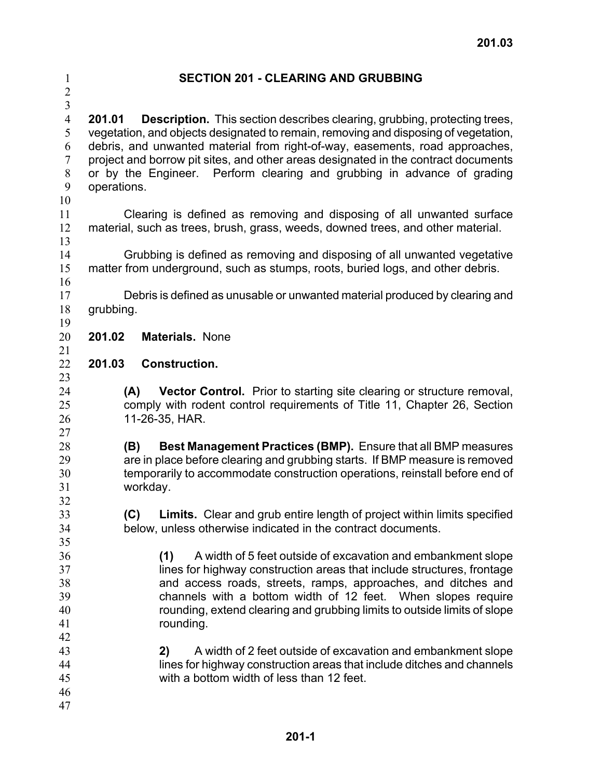2 3

## 1 **SECTION 201 - CLEARING AND GRUBBING**

4 5 6 7 8 9 **201.01 Description.** This section describes clearing, grubbing, protecting trees, vegetation, and objects designated to remain, removing and disposing of vegetation, debris, and unwanted material from right-of-way, easements, road approaches, project and borrow pit sites, and other areas designated in the contract documents or by the Engineer. Perform clearing and grubbing in advance of grading operations.

10 11

13

21

32

35

12 Clearing is defined as removing and disposing of all unwanted surface material, such as trees, brush, grass, weeds, downed trees, and other material.

14 15 Grubbing is defined as removing and disposing of all unwanted vegetative matter from underground, such as stumps, roots, buried logs, and other debris.

Debris is defined as unusable or unwanted material produced by clearing and grubbing.

- 20 **201.02 Materials.** None
- 22 **201.03 Construction.**
	- **(A) Vector Control.** Prior to starting site clearing or structure removal, comply with rodent control requirements of Title 11, Chapter 26, Section 11-26-35, HAR.
- 28 29 30 31 **(B) Best Management Practices (BMP).** Ensure that all BMP measures are in place before clearing and grubbing starts. If BMP measure is removed temporarily to accommodate construction operations, reinstall before end of workday.
- 33 34 **(C) Limits.** Clear and grub entire length of project within limits specified below, unless otherwise indicated in the contract documents.
- 36 37 38 39 40 41 42 **(1)** A width of 5 feet outside of excavation and embankment slope lines for highway construction areas that include structures, frontage and access roads, streets, ramps, approaches, and ditches and channels with a bottom width of 12 feet. When slopes require rounding, extend clearing and grubbing limits to outside limits of slope rounding.
- 43 44 45 46 **2)** A width of 2 feet outside of excavation and embankment slope lines for highway construction areas that include ditches and channels with a bottom width of less than 12 feet.
- 47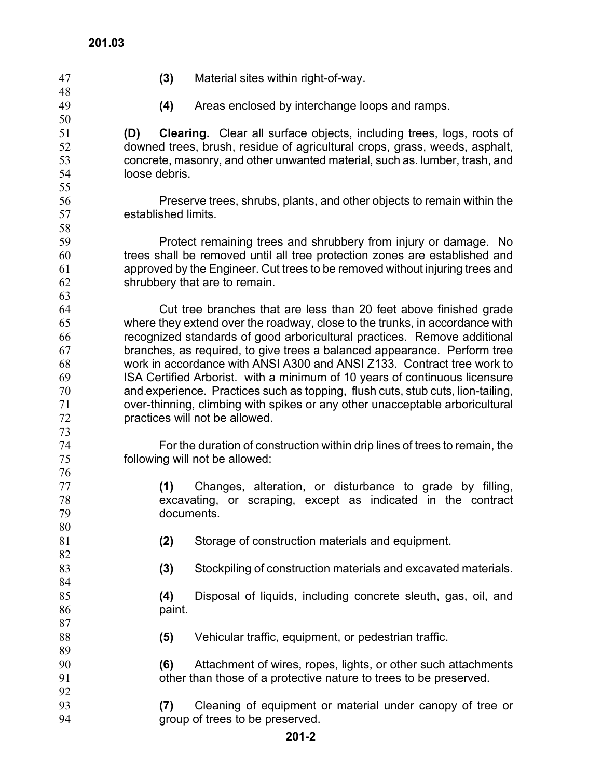47 **(3)** Material sites within right-of-way. 48 49 50 51 52 53 54 55 56 57 58 59 60 61 62 63 64 65 66 67 68 69 70 71 72 73 74 75 76 77 78 79 80 81 82 83 84 85 86 87 88 89 90 91 92 93 94 **(4)** Areas enclosed by interchange loops and ramps. **(D) Clearing.** Clear all surface objects, including trees, logs, roots of downed trees, brush, residue of agricultural crops, grass, weeds, asphalt, concrete, masonry, and other unwanted material, such as. lumber, trash, and loose debris. Preserve trees, shrubs, plants, and other objects to remain within the established limits. Protect remaining trees and shrubbery from injury or damage. No trees shall be removed until all tree protection zones are established and approved by the Engineer. Cut trees to be removed without injuring trees and shrubbery that are to remain. Cut tree branches that are less than 20 feet above finished grade where they extend over the roadway, close to the trunks, in accordance with recognized standards of good arboricultural practices. Remove additional branches, as required, to give trees a balanced appearance. Perform tree work in accordance with ANSI A300 and ANSI Z133. Contract tree work to ISA Certified Arborist. with a minimum of 10 years of continuous licensure and experience. Practices such as topping, flush cuts, stub cuts, lion-tailing, over-thinning, climbing with spikes or any other unacceptable arboricultural practices will not be allowed. For the duration of construction within drip lines of trees to remain, the following will not be allowed: **(1)** Changes, alteration, or disturbance to grade by filling, excavating, or scraping, except as indicated in the contract documents. **(2)** Storage of construction materials and equipment. **(3)** Stockpiling of construction materials and excavated materials. **(4)** Disposal of liquids, including concrete sleuth, gas, oil, and paint. **(5)** Vehicular traffic, equipment, or pedestrian traffic. **(6)** Attachment of wires, ropes, lights, or other such attachments other than those of a protective nature to trees to be preserved. **(7)** Cleaning of equipment or material under canopy of tree or group of trees to be preserved.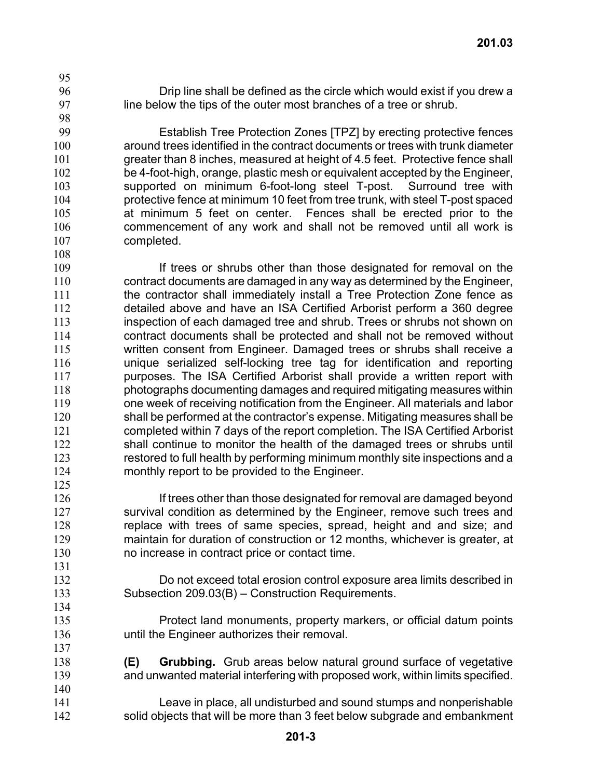96 97 Drip line shall be defined as the circle which would exist if you drew a line below the tips of the outer most branches of a tree or shrub.

95

98 99 100 101 102 103 104 105 106 107 108 Establish Tree Protection Zones [TPZ] by erecting protective fences around trees identified in the contract documents or trees with trunk diameter greater than 8 inches, measured at height of 4.5 feet. Protective fence shall be 4-foot-high, orange, plastic mesh or equivalent accepted by the Engineer, supported on minimum 6-foot-long steel T-post. Surround tree with protective fence at minimum 10 feet from tree trunk, with steel T-post spaced at minimum 5 feet on center. Fences shall be erected prior to the commencement of any work and shall not be removed until all work is completed.

109 110 111 112 113 114 115 116 117 118 119 120 121 122 123 124 125 If trees or shrubs other than those designated for removal on the contract documents are damaged in any way as determined by the Engineer, the contractor shall immediately install a Tree Protection Zone fence as detailed above and have an ISA Certified Arborist perform a 360 degree inspection of each damaged tree and shrub. Trees or shrubs not shown on contract documents shall be protected and shall not be removed without written consent from Engineer. Damaged trees or shrubs shall receive a unique serialized self-locking tree tag for identification and reporting purposes. The ISA Certified Arborist shall provide a written report with photographs documenting damages and required mitigating measures within one week of receiving notification from the Engineer. All materials and labor shall be performed at the contractor's expense. Mitigating measures shall be completed within 7 days of the report completion. The ISA Certified Arborist shall continue to monitor the health of the damaged trees or shrubs until restored to full health by performing minimum monthly site inspections and a monthly report to be provided to the Engineer.

126 127 128 129 130 131 If trees other than those designated for removal are damaged beyond survival condition as determined by the Engineer, remove such trees and replace with trees of same species, spread, height and and size; and maintain for duration of construction or 12 months, whichever is greater, at no increase in contract price or contact time.

- Do not exceed total erosion control exposure area limits described in Subsection 209.03(B) – Construction Requirements.
- Protect land monuments, property markers, or official datum points until the Engineer authorizes their removal.
- **(E) Grubbing.** Grub areas below natural ground surface of vegetative and unwanted material interfering with proposed work, within limits specified.
- 141 142 Leave in place, all undisturbed and sound stumps and nonperishable solid objects that will be more than 3 feet below subgrade and embankment